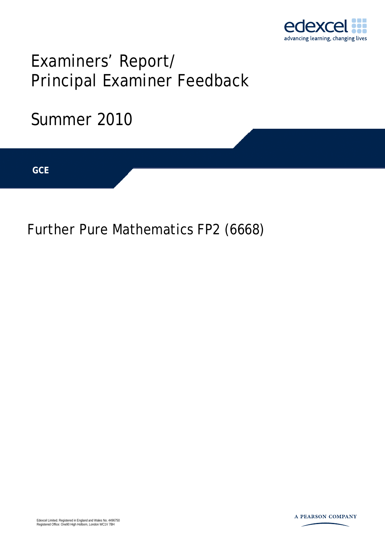

# Examiners' Report/ Principal Examiner Feedback

## Summer 2010

**IGCSE GCE** 

Further Pure Mathematics FP2 (6668)

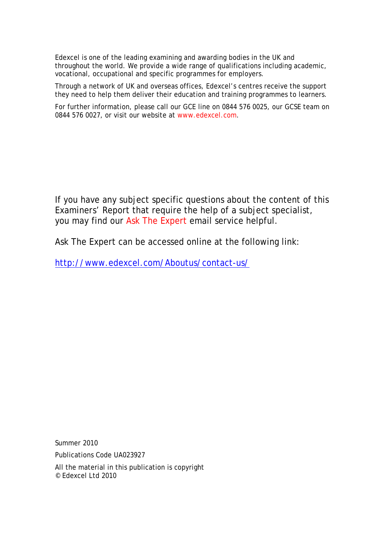Edexcel is one of the leading examining and awarding bodies in the UK and throughout the world. We provide a wide range of qualifications including academic, vocational, occupational and specific programmes for employers.

Through a network of UK and overseas offices, Edexcel's centres receive the support they need to help them deliver their education and training programmes to learners.

For further information, please call our GCE line on 0844 576 0025, our GCSE team on 0844 576 0027, or visit our website at www.edexcel.com.

If you have any subject specific questions about the content of this Examiners' Report that require the help of a subject specialist, you may find our Ask The Expert email service helpful.

Ask The Expert can be accessed online at the following link:

http://www.edexcel.com/Aboutus/contact-us/

Summer 2010

Publications Code UA023927

All the material in this publication is copyright © Edexcel Ltd 2010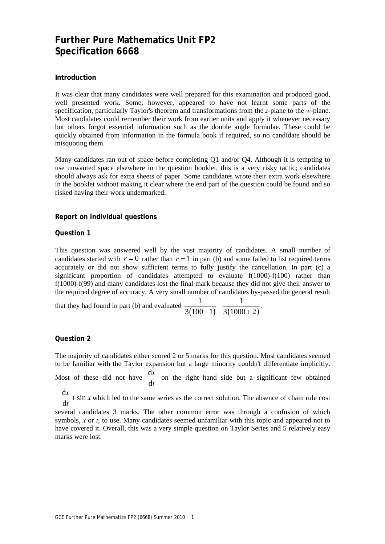### **Further Pure Mathematics Unit FP2 Specification 6668**

#### **Introduction**

It was clear that many candidates were well prepared for this examination and produced good, well presented work. Some, however, appeared to have not learnt some parts of the specification, particularly Taylor's theorem and transformations from the *z*-plane to the *w*-plane. Most candidates could remember their work from earlier units and apply it whenever necessary but others forgot essential information such as the double angle formulae. These could be quickly obtained from information in the formula book if required, so no candidate should be misquoting them.

Many candidates ran out of space before completing Q1 and/or Q4. Although it is tempting to use unwanted space elsewhere in the question booklet, this is a very risky tactic; candidates should always ask for extra sheets of paper. Some candidates wrote their extra work elsewhere in the booklet without making it clear where the end part of the question could be found and so risked having their work undermarked.

#### **Report on individual questions**

#### **Question 1**

This question was answered well by the vast majority of candidates. A small number of candidates started with  $r = 0$  rather than  $r = 1$  in part (b) and some failed to list required terms accurately or did not show sufficient terms to fully justify the cancellation. In part (c) a significant proportion of candidates attempted to evaluate f(1000)-f(100) rather than f(1000)-f(99) and many candidates lost the final mark because they did not give their answer to the required degree of accuracy. A very small number of candidates by-passed the general result

that they had found in part (b) and evaluated 
$$
\frac{1}{3(100-1)} - \frac{1}{3(1000+2)}
$$
.

#### **Question 2**

The majority of candidates either scored 2 or 5 marks for this question. Most candidates seemed to be familiar with the Taylor expansion but a large minority couldn't differentiate implicitly.

Most of these did not have  $\frac{d}{dx}$ d *x t* on the right hand side but a significant few obtained

 $\frac{dx}{ } + \sin$ d  $\frac{x}{x}$  + sin x *t*  $-\frac{du}{dx}$  + sin x which led to the same series as the correct solution. The absence of chain rule cost

several candidates 3 marks. The other common error was through a confusion of which symbols, *x* or *t*, to use. Many candidates seemed unfamiliar with this topic and appeared not to have covered it. Overall, this was a very simple question on Taylor Series and 5 relatively easy marks were lost.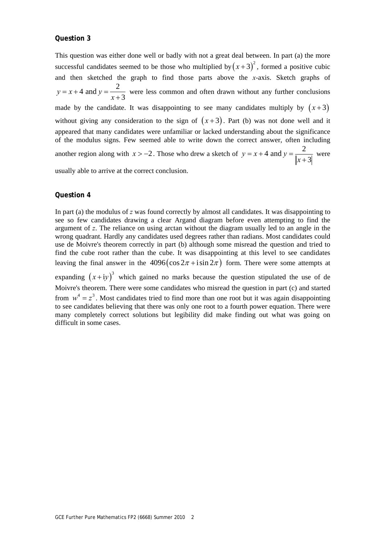#### **Question 3**

This question was either done well or badly with not a great deal between. In part (a) the more successful candidates seemed to be those who multiplied by  $(x+3)^2$ , formed a positive cubic and then sketched the graph to find those parts above the *x*-axis. Sketch graphs of  $y = x + 4$  and  $y = \frac{2}{x + 3}$  $= x + 4$  and  $y =$ + were less common and often drawn without any further conclusions made by the candidate. It was disappointing to see many candidates multiply by  $(x+3)$ without giving any consideration to the sign of  $(x+3)$ . Part (b) was not done well and it appeared that many candidates were unfamiliar or lacked understanding about the significance of the modulus signs. Few seemed able to write down the correct answer, often including another region along with  $x > -2$ . Those who drew a sketch of  $y = x + 4$  and  $y = \frac{2}{x+3}$  $= x + 4$  and  $y =$ + were

usually able to arrive at the correct conclusion.

#### **Question 4**

In part (a) the modulus of *z* was found correctly by almost all candidates. It was disappointing to see so few candidates drawing a clear Argand diagram before even attempting to find the argument of *z*. The reliance on using arctan without the diagram usually led to an angle in the wrong quadrant. Hardly any candidates used degrees rather than radians. Most candidates could use de Moivre's theorem correctly in part (b) although some misread the question and tried to find the cube root rather than the cube. It was disappointing at this level to see candidates leaving the final answer in the  $4096 (\cos 2\pi + i \sin 2\pi)$  form. There were some attempts at

expanding  $(x+iy)^3$  which gained no marks because the question stipulated the use of de Moivre's theorem. There were some candidates who misread the question in part (c) and started from  $w^4 = z^3$ . Most candidates tried to find more than one root but it was again disappointing to see candidates believing that there was only one root to a fourth power equation. There were many completely correct solutions but legibility did make finding out what was going on difficult in some cases.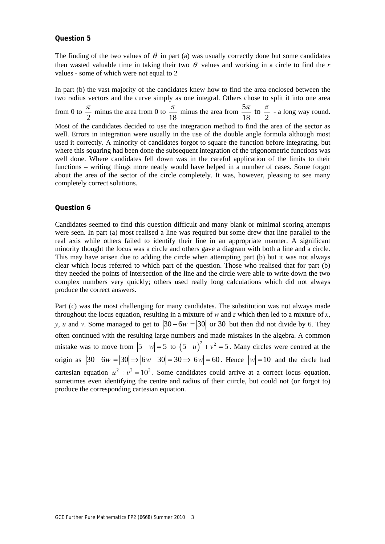#### **Question 5**

The finding of the two values of  $\theta$  in part (a) was usually correctly done but some candidates then wasted valuable time in taking their two  $\theta$  values and working in a circle to find the r values - some of which were not equal to 2

In part (b) the vast majority of the candidates knew how to find the area enclosed between the two radius vectors and the curve simply as one integral. Others chose to split it into one area from 0 to 2  $\frac{\pi}{2}$  minus the area from 0 to 18  $rac{\pi}{\pi}$  minus the area from  $rac{5\pi}{\pi}$  to 18 2  $\frac{\pi}{\pi}$  to  $\frac{\pi}{\pi}$  - a long way round. Most of the candidates decided to use the integration method to find the area of the sector as well. Errors in integration were usually in the use of the double angle formula although most used it correctly. A minority of candidates forgot to square the function before integrating, but where this squaring had been done the subsequent integration of the trigonometric functions was well done. Where candidates fell down was in the careful application of the limits to their functions – writing things more neatly would have helped in a number of cases. Some forgot about the area of the sector of the circle completely. It was, however, pleasing to see many completely correct solutions.

#### **Question 6**

Candidates seemed to find this question difficult and many blank or minimal scoring attempts were seen. In part (a) most realised a line was required but some drew that line parallel to the real axis while others failed to identify their line in an appropriate manner. A significant minority thought the locus was a circle and others gave a diagram with both a line and a circle. This may have arisen due to adding the circle when attempting part (b) but it was not always clear which locus referred to which part of the question. Those who realised that for part (b) they needed the points of intersection of the line and the circle were able to write down the two complex numbers very quickly; others used really long calculations which did not always produce the correct answers.

Part (c) was the most challenging for many candidates. The substitution was not always made throughout the locus equation, resulting in a mixture of *w* and *z* which then led to a mixture of *x*, *y*, *u* and *v*. Some managed to get to  $|30 - 6w| = |30|$  or 30 but then did not divide by 6. They often continued with the resulting large numbers and made mistakes in the algebra. A common mistake was to move from  $|5 - w| = 5$  to  $(5 - u)^2 + v^2 = 5$ . Many circles were centred at the origin as  $|30 - 6w| = |30| \Rightarrow |6w - 30| = 30 \Rightarrow |6w| = 60$ . Hence  $|w| = 10$  and the circle had cartesian equation  $u^2 + v^2 = 10^2$ . Some candidates could arrive at a correct locus equation, sometimes even identifying the centre and radius of their ciircle, but could not (or forgot to) produce the corresponding cartesian equation.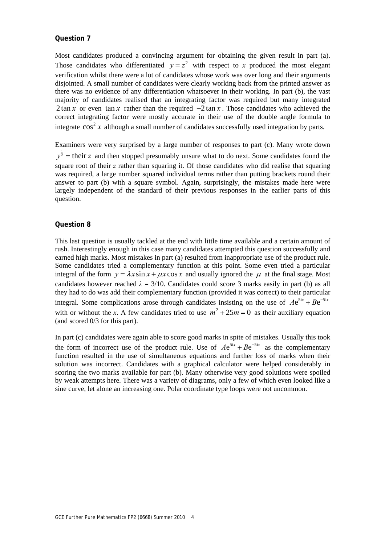#### **Question 7**

Most candidates produced a convincing argument for obtaining the given result in part (a). Those candidates who differentiated  $y = z^2$  with respect to *x* produced the most elegant verification whilst there were a lot of candidates whose work was over long and their arguments disjointed. A small number of candidates were clearly working back from the printed answer as there was no evidence of any differentiation whatsoever in their working. In part (b), the vast majority of candidates realised that an integrating factor was required but many integrated 2 tan *x* or even tan *x* rather than the required  $-2 \tan x$ . Those candidates who achieved the correct integrating factor were mostly accurate in their use of the double angle formula to integrate  $\cos^2 x$  although a small number of candidates successfully used integration by parts.

Examiners were very surprised by a large number of responses to part (c). Many wrote down 1  $y^{\frac{1}{2}}$  = their z and then stopped presumably unsure what to do next. Some candidates found the square root of their *z* rather than squaring it. Of those candidates who did realise that squaring was required, a large number squared individual terms rather than putting brackets round their answer to part (b) with a square symbol. Again, surprisingly, the mistakes made here were largely independent of the standard of their previous responses in the earlier parts of this question.

#### **Question 8**

This last question is usually tackled at the end with little time available and a certain amount of rush. Interestingly enough in this case many candidates attempted this question successfully and earned high marks. Most mistakes in part (a) resulted from inappropriate use of the product rule. Some candidates tried a complementary function at this point. Some even tried a particular integral of the form  $y = \lambda x \sin x + \mu x \cos x$  and usually ignored the  $\mu$  at the final stage. Most candidates however reached  $\lambda = 3/10$ . Candidates could score 3 marks easily in part (b) as all they had to do was add their complementary function (provided it was correct) to their particular integral. Some complications arose through candidates insisting on the use of  $Ae^{5ix} + Be^{-5ix}$ with or without the *x*. A few candidates tried to use  $m^2 + 25m = 0$  as their auxiliary equation (and scored 0/3 for this part).

In part (c) candidates were again able to score good marks in spite of mistakes. Usually this took the form of incorrect use of the product rule. Use of  $Ae^{5ix} + Be^{-5ix}$  as the complementary function resulted in the use of simultaneous equations and further loss of marks when their solution was incorrect. Candidates with a graphical calculator were helped considerably in scoring the two marks available for part (b). Many otherwise very good solutions were spoiled by weak attempts here. There was a variety of diagrams, only a few of which even looked like a sine curve, let alone an increasing one. Polar coordinate type loops were not uncommon.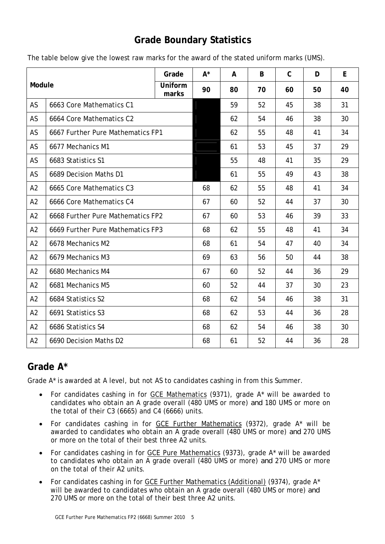## **Grade Boundary Statistics**

| Module         |                                   | Grade            | $A^*$ | A  | B  | $\mathsf{C}$ | D  | E  |
|----------------|-----------------------------------|------------------|-------|----|----|--------------|----|----|
|                |                                   | Uniform<br>marks | 90    | 80 | 70 | 60           | 50 | 40 |
| AS             | 6663 Core Mathematics C1          |                  |       | 59 | 52 | 45           | 38 | 31 |
| AS             | 6664 Core Mathematics C2          |                  |       | 62 | 54 | 46           | 38 | 30 |
| AS             | 6667 Further Pure Mathematics FP1 |                  |       | 62 | 55 | 48           | 41 | 34 |
| AS             | 6677 Mechanics M1                 |                  |       | 61 | 53 | 45           | 37 | 29 |
| AS             | 6683 Statistics S1                |                  |       | 55 | 48 | 41           | 35 | 29 |
| AS             | 6689 Decision Maths D1            |                  |       | 61 | 55 | 49           | 43 | 38 |
| A2             | 6665 Core Mathematics C3          |                  | 68    | 62 | 55 | 48           | 41 | 34 |
| A2             | 6666 Core Mathematics C4          |                  | 67    | 60 | 52 | 44           | 37 | 30 |
| A2             | 6668 Further Pure Mathematics FP2 |                  | 67    | 60 | 53 | 46           | 39 | 33 |
| A2             | 6669 Further Pure Mathematics FP3 |                  | 68    | 62 | 55 | 48           | 41 | 34 |
| A2             | 6678 Mechanics M2                 |                  | 68    | 61 | 54 | 47           | 40 | 34 |
| A2             | 6679 Mechanics M3                 |                  | 69    | 63 | 56 | 50           | 44 | 38 |
| A <sub>2</sub> | 6680 Mechanics M4                 |                  | 67    | 60 | 52 | 44           | 36 | 29 |
| A2             | 6681 Mechanics M5                 |                  | 60    | 52 | 44 | 37           | 30 | 23 |
| A2             | 6684 Statistics S2                |                  | 68    | 62 | 54 | 46           | 38 | 31 |
| A2             | 6691 Statistics S3                |                  | 68    | 62 | 53 | 44           | 36 | 28 |
| A2             | 6686 Statistics S4                |                  | 68    | 62 | 54 | 46           | 38 | 30 |
| A2             | 6690 Decision Maths D2            |                  | 68    | 61 | 52 | 44           | 36 | 28 |

The table below give the lowest raw marks for the award of the stated uniform marks (UMS).

## **Grade A\***

Grade A\* is awarded at A level, but not AS to candidates cashing in from this Summer.

- For candidates cashing in for GCE Mathematics (9371), grade A\* will be awarded to candidates who obtain an A grade overall (480 UMS or more) *and* 180 UMS or more on the total of their C3 (6665) and C4 (6666) units.
- For candidates cashing in for GCE Further Mathematics (9372), grade A\* will be awarded to candidates who obtain an A grade overall (480 UMS or more) *and* 270 UMS or more on the total of their best three A2 units.
- For candidates cashing in for GCE Pure Mathematics (9373), grade A\* will be awarded to candidates who obtain an A grade overall (480 UMS or more) *and* 270 UMS or more on the total of their A2 units.
- For candidates cashing in for GCE Further Mathematics (Additional) (9374), grade A\* will be awarded to candidates who obtain an A grade overall (480 UMS or more) *and*  270 UMS or more on the total of their best three A2 units.